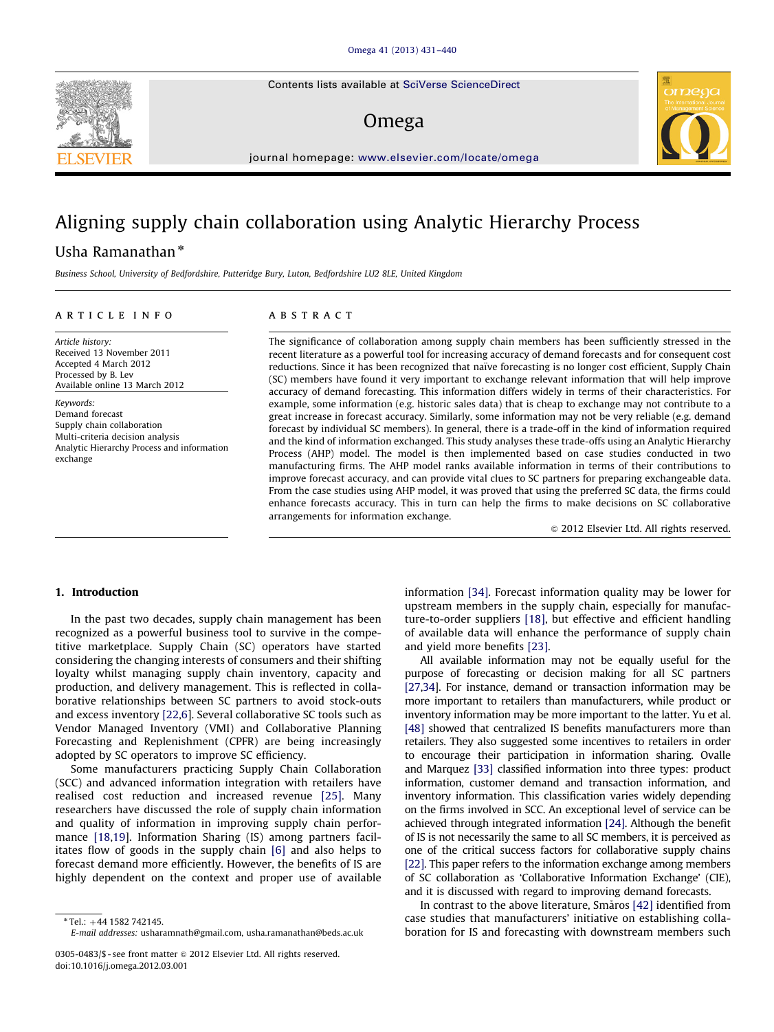Contents lists available at [SciVerse ScienceDirect](www.elsevier.com/locate/omega)

## Omega



journal homepage: <www.elsevier.com/locate/omega>

## Aligning supply chain collaboration using Analytic Hierarchy Process

### Usha Ramanathan\*

Business School, University of Bedfordshire, Putteridge Bury, Luton, Bedfordshire LU2 8LE, United Kingdom

#### article info

Article history: Received 13 November 2011 Accepted 4 March 2012 Processed by B. Lev Available online 13 March 2012

Keywords: Demand forecast Supply chain collaboration Multi-criteria decision analysis Analytic Hierarchy Process and information exchange

#### **ABSTRACT**

The significance of collaboration among supply chain members has been sufficiently stressed in the recent literature as a powerful tool for increasing accuracy of demand forecasts and for consequent cost reductions. Since it has been recognized that naı̈ve forecasting is no longer cost efficient, Supply Chain (SC) members have found it very important to exchange relevant information that will help improve accuracy of demand forecasting. This information differs widely in terms of their characteristics. For example, some information (e.g. historic sales data) that is cheap to exchange may not contribute to a great increase in forecast accuracy. Similarly, some information may not be very reliable (e.g. demand forecast by individual SC members). In general, there is a trade-off in the kind of information required and the kind of information exchanged. This study analyses these trade-offs using an Analytic Hierarchy Process (AHP) model. The model is then implemented based on case studies conducted in two manufacturing firms. The AHP model ranks available information in terms of their contributions to improve forecast accuracy, and can provide vital clues to SC partners for preparing exchangeable data. From the case studies using AHP model, it was proved that using the preferred SC data, the firms could enhance forecasts accuracy. This in turn can help the firms to make decisions on SC collaborative arrangements for information exchange.

 $©$  2012 Elsevier Ltd. All rights reserved.

#### 1. Introduction

In the past two decades, supply chain management has been recognized as a powerful business tool to survive in the competitive marketplace. Supply Chain (SC) operators have started considering the changing interests of consumers and their shifting loyalty whilst managing supply chain inventory, capacity and production, and delivery management. This is reflected in collaborative relationships between SC partners to avoid stock-outs and excess inventory [\[22,6](#page--1-0)]. Several collaborative SC tools such as Vendor Managed Inventory (VMI) and Collaborative Planning Forecasting and Replenishment (CPFR) are being increasingly adopted by SC operators to improve SC efficiency.

Some manufacturers practicing Supply Chain Collaboration (SCC) and advanced information integration with retailers have realised cost reduction and increased revenue [\[25\]](#page--1-0). Many researchers have discussed the role of supply chain information and quality of information in improving supply chain performance [\[18,19](#page--1-0)]. Information Sharing (IS) among partners facilitates flow of goods in the supply chain [\[6\]](#page--1-0) and also helps to forecast demand more efficiently. However, the benefits of IS are highly dependent on the context and proper use of available

 $*$  Tel.:  $+44$  1582 742145. E-mail addresses: [usharamnath@gmail.com,](mailto:usharamnath@gmail.com) [usha.ramanathan@beds.ac.uk](mailto:usha.ramanathan@beds.ac.uk) information [\[34\].](#page--1-0) Forecast information quality may be lower for upstream members in the supply chain, especially for manufacture-to-order suppliers [\[18\],](#page--1-0) but effective and efficient handling of available data will enhance the performance of supply chain and yield more benefits [\[23\].](#page--1-0)

All available information may not be equally useful for the purpose of forecasting or decision making for all SC partners [\[27,34\]](#page--1-0). For instance, demand or transaction information may be more important to retailers than manufacturers, while product or inventory information may be more important to the latter. Yu et al. [\[48\]](#page--1-0) showed that centralized IS benefits manufacturers more than retailers. They also suggested some incentives to retailers in order to encourage their participation in information sharing. Ovalle and Marquez [\[33\]](#page--1-0) classified information into three types: product information, customer demand and transaction information, and inventory information. This classification varies widely depending on the firms involved in SCC. An exceptional level of service can be achieved through integrated information [\[24\].](#page--1-0) Although the benefit of IS is not necessarily the same to all SC members, it is perceived as one of the critical success factors for collaborative supply chains [\[22\].](#page--1-0) This paper refers to the information exchange among members of SC collaboration as 'Collaborative Information Exchange' (CIE), and it is discussed with regard to improving demand forecasts.

In contrast to the above literature, Småros [\[42\]](#page--1-0) identified from case studies that manufacturers' initiative on establishing collaboration for IS and forecasting with downstream members such



<sup>0305-0483/\$ -</sup> see front matter  $\circ$  2012 Elsevier Ltd. All rights reserved. doi:[10.1016/j.omega.2012.03.001](dx.doi.org/10.1016/j.omega.2012.03.001)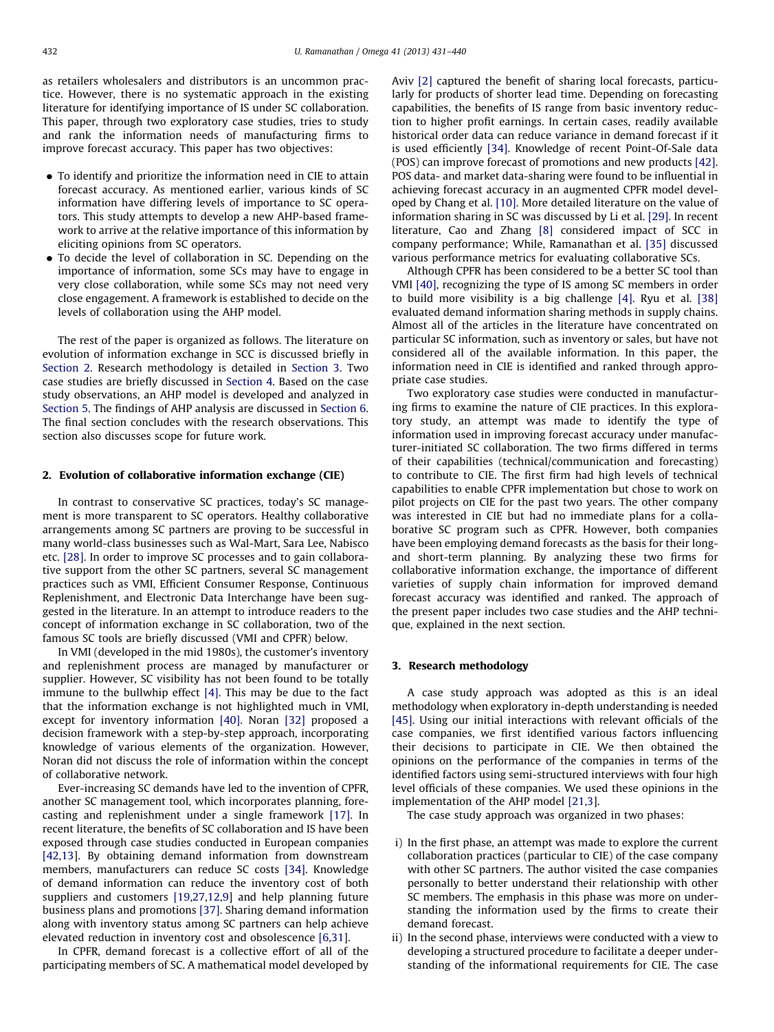as retailers wholesalers and distributors is an uncommon practice. However, there is no systematic approach in the existing literature for identifying importance of IS under SC collaboration. This paper, through two exploratory case studies, tries to study and rank the information needs of manufacturing firms to improve forecast accuracy. This paper has two objectives:

- $\bullet$  To identify and prioritize the information need in CIE to attain forecast accuracy. As mentioned earlier, various kinds of SC information have differing levels of importance to SC operators. This study attempts to develop a new AHP-based framework to arrive at the relative importance of this information by eliciting opinions from SC operators.
- $\bullet$  To decide the level of collaboration in SC. Depending on the importance of information, some SCs may have to engage in very close collaboration, while some SCs may not need very close engagement. A framework is established to decide on the levels of collaboration using the AHP model.

The rest of the paper is organized as follows. The literature on evolution of information exchange in SCC is discussed briefly in Section 2. Research methodology is detailed in Section 3. Two case studies are briefly discussed in [Section 4.](#page--1-0) Based on the case study observations, an AHP model is developed and analyzed in [Section 5.](#page--1-0) The findings of AHP analysis are discussed in [Section 6.](#page--1-0) The final section concludes with the research observations. This section also discusses scope for future work.

#### 2. Evolution of collaborative information exchange (CIE)

In contrast to conservative SC practices, today's SC management is more transparent to SC operators. Healthy collaborative arrangements among SC partners are proving to be successful in many world-class businesses such as Wal-Mart, Sara Lee, Nabisco etc. [\[28\]](#page--1-0). In order to improve SC processes and to gain collaborative support from the other SC partners, several SC management practices such as VMI, Efficient Consumer Response, Continuous Replenishment, and Electronic Data Interchange have been suggested in the literature. In an attempt to introduce readers to the concept of information exchange in SC collaboration, two of the famous SC tools are briefly discussed (VMI and CPFR) below.

In VMI (developed in the mid 1980s), the customer's inventory and replenishment process are managed by manufacturer or supplier. However, SC visibility has not been found to be totally immune to the bullwhip effect [\[4\]](#page--1-0). This may be due to the fact that the information exchange is not highlighted much in VMI, except for inventory information [\[40\].](#page--1-0) Noran [\[32\]](#page--1-0) proposed a decision framework with a step-by-step approach, incorporating knowledge of various elements of the organization. However, Noran did not discuss the role of information within the concept of collaborative network.

Ever-increasing SC demands have led to the invention of CPFR, another SC management tool, which incorporates planning, forecasting and replenishment under a single framework [\[17\].](#page--1-0) In recent literature, the benefits of SC collaboration and IS have been exposed through case studies conducted in European companies [\[42,13\]](#page--1-0). By obtaining demand information from downstream members, manufacturers can reduce SC costs [\[34\].](#page--1-0) Knowledge of demand information can reduce the inventory cost of both suppliers and customers [\[19,27,12,9](#page--1-0)] and help planning future business plans and promotions [\[37\]](#page--1-0). Sharing demand information along with inventory status among SC partners can help achieve elevated reduction in inventory cost and obsolescence [\[6,31\]](#page--1-0).

In CPFR, demand forecast is a collective effort of all of the participating members of SC. A mathematical model developed by Aviv [\[2\]](#page--1-0) captured the benefit of sharing local forecasts, particularly for products of shorter lead time. Depending on forecasting capabilities, the benefits of IS range from basic inventory reduction to higher profit earnings. In certain cases, readily available historical order data can reduce variance in demand forecast if it is used efficiently [\[34\].](#page--1-0) Knowledge of recent Point-Of-Sale data (POS) can improve forecast of promotions and new products [\[42\].](#page--1-0) POS data- and market data-sharing were found to be influential in achieving forecast accuracy in an augmented CPFR model developed by Chang et al. [\[10\]](#page--1-0). More detailed literature on the value of information sharing in SC was discussed by Li et al. [\[29\].](#page--1-0) In recent literature, Cao and Zhang [\[8\]](#page--1-0) considered impact of SCC in company performance; While, Ramanathan et al. [\[35\]](#page--1-0) discussed various performance metrics for evaluating collaborative SCs.

Although CPFR has been considered to be a better SC tool than VMI [\[40\],](#page--1-0) recognizing the type of IS among SC members in order to build more visibility is a big challenge [\[4\].](#page--1-0) Ryu et al. [\[38\]](#page--1-0) evaluated demand information sharing methods in supply chains. Almost all of the articles in the literature have concentrated on particular SC information, such as inventory or sales, but have not considered all of the available information. In this paper, the information need in CIE is identified and ranked through appropriate case studies.

Two exploratory case studies were conducted in manufacturing firms to examine the nature of CIE practices. In this exploratory study, an attempt was made to identify the type of information used in improving forecast accuracy under manufacturer-initiated SC collaboration. The two firms differed in terms of their capabilities (technical/communication and forecasting) to contribute to CIE. The first firm had high levels of technical capabilities to enable CPFR implementation but chose to work on pilot projects on CIE for the past two years. The other company was interested in CIE but had no immediate plans for a collaborative SC program such as CPFR. However, both companies have been employing demand forecasts as the basis for their longand short-term planning. By analyzing these two firms for collaborative information exchange, the importance of different varieties of supply chain information for improved demand forecast accuracy was identified and ranked. The approach of the present paper includes two case studies and the AHP technique, explained in the next section.

#### 3. Research methodology

A case study approach was adopted as this is an ideal methodology when exploratory in-depth understanding is needed [\[45\]](#page--1-0). Using our initial interactions with relevant officials of the case companies, we first identified various factors influencing their decisions to participate in CIE. We then obtained the opinions on the performance of the companies in terms of the identified factors using semi-structured interviews with four high level officials of these companies. We used these opinions in the implementation of the AHP model [\[21](#page--1-0),[3\]](#page--1-0).

The case study approach was organized in two phases:

- i) In the first phase, an attempt was made to explore the current collaboration practices (particular to CIE) of the case company with other SC partners. The author visited the case companies personally to better understand their relationship with other SC members. The emphasis in this phase was more on understanding the information used by the firms to create their demand forecast.
- ii) In the second phase, interviews were conducted with a view to developing a structured procedure to facilitate a deeper understanding of the informational requirements for CIE. The case